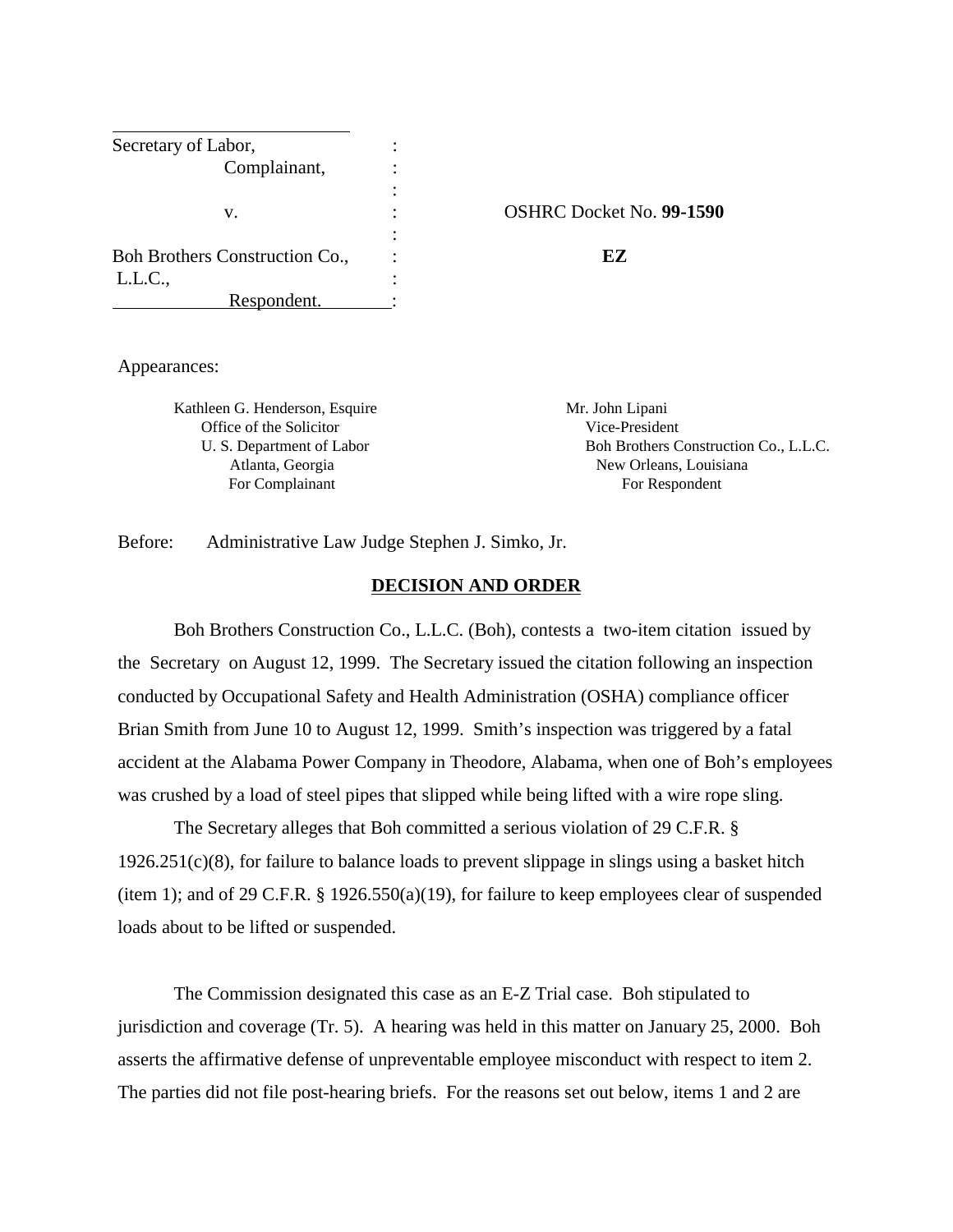| Secretary of Labor,            |                     |
|--------------------------------|---------------------|
| Complainant,                   |                     |
|                                |                     |
| V.                             | <b>OSHRC</b> Docket |
|                                |                     |
| Boh Brothers Construction Co., | FZ                  |
| L.L.C.,                        |                     |
| Respondent.                    |                     |

#### v. : OSHRC Docket No. **99-1590**

Appearances:

Kathleen G. Henderson, Esquire Mr. John Lipani Office of the Solicitor Vice-President

U. S. Department of Labor Boh Brothers Construction Co., L.L.C. Atlanta, Georgia New Orleans, Louisiana For Complainant For Respondent

Before: Administrative Law Judge Stephen J. Simko, Jr.

### **DECISION AND ORDER**

Boh Brothers Construction Co., L.L.C. (Boh), contests a two-item citation issued by the Secretary on August 12, 1999. The Secretary issued the citation following an inspection conducted by Occupational Safety and Health Administration (OSHA) compliance officer Brian Smith from June 10 to August 12, 1999. Smith's inspection was triggered by a fatal accident at the Alabama Power Company in Theodore, Alabama, when one of Boh's employees was crushed by a load of steel pipes that slipped while being lifted with a wire rope sling.

The Secretary alleges that Boh committed a serious violation of 29 C.F.R. § 1926.251(c)(8), for failure to balance loads to prevent slippage in slings using a basket hitch (item 1); and of 29 C.F.R. § 1926.550(a)(19), for failure to keep employees clear of suspended loads about to be lifted or suspended.

The Commission designated this case as an E-Z Trial case. Boh stipulated to jurisdiction and coverage (Tr. 5). A hearing was held in this matter on January 25, 2000. Boh asserts the affirmative defense of unpreventable employee misconduct with respect to item 2. The parties did not file post-hearing briefs. For the reasons set out below, items 1 and 2 are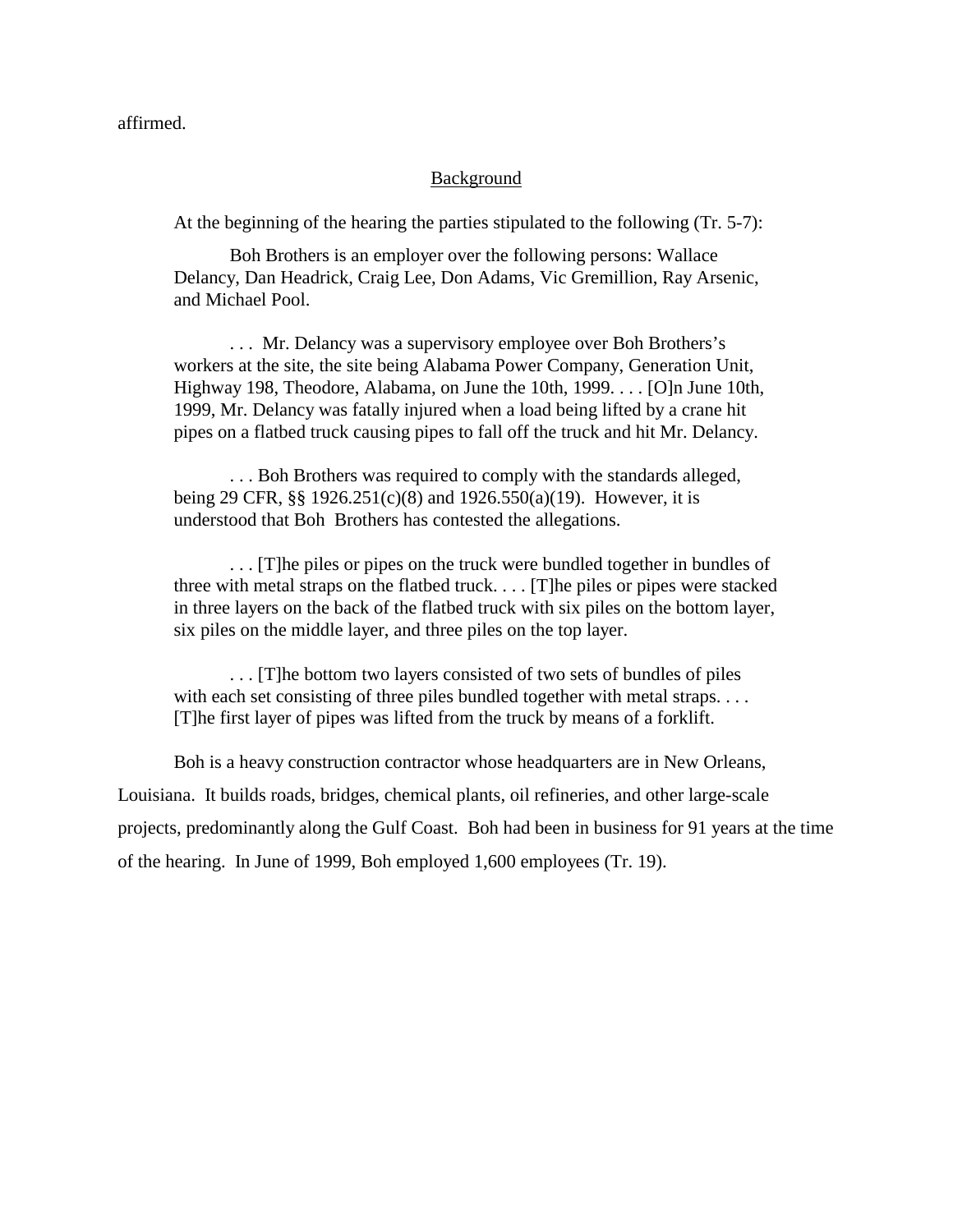affirmed.

### Background

At the beginning of the hearing the parties stipulated to the following (Tr. 5-7):

Boh Brothers is an employer over the following persons: Wallace Delancy, Dan Headrick, Craig Lee, Don Adams, Vic Gremillion, Ray Arsenic, and Michael Pool.

. . . Mr. Delancy was a supervisory employee over Boh Brothers's workers at the site, the site being Alabama Power Company, Generation Unit, Highway 198, Theodore, Alabama, on June the 10th, 1999. . . . [O]n June 10th, 1999, Mr. Delancy was fatally injured when a load being lifted by a crane hit pipes on a flatbed truck causing pipes to fall off the truck and hit Mr. Delancy.

. . . Boh Brothers was required to comply with the standards alleged, being 29 CFR, §§ 1926.251(c)(8) and 1926.550(a)(19). However, it is understood that Boh Brothers has contested the allegations.

. . . [T]he piles or pipes on the truck were bundled together in bundles of three with metal straps on the flatbed truck. . . . [T]he piles or pipes were stacked in three layers on the back of the flatbed truck with six piles on the bottom layer, six piles on the middle layer, and three piles on the top layer.

. . . [T]he bottom two layers consisted of two sets of bundles of piles with each set consisting of three piles bundled together with metal straps.... [T]he first layer of pipes was lifted from the truck by means of a forklift.

Boh is a heavy construction contractor whose headquarters are in New Orleans, Louisiana. It builds roads, bridges, chemical plants, oil refineries, and other large-scale projects, predominantly along the Gulf Coast. Boh had been in business for 91 years at the time of the hearing. In June of 1999, Boh employed 1,600 employees (Tr. 19).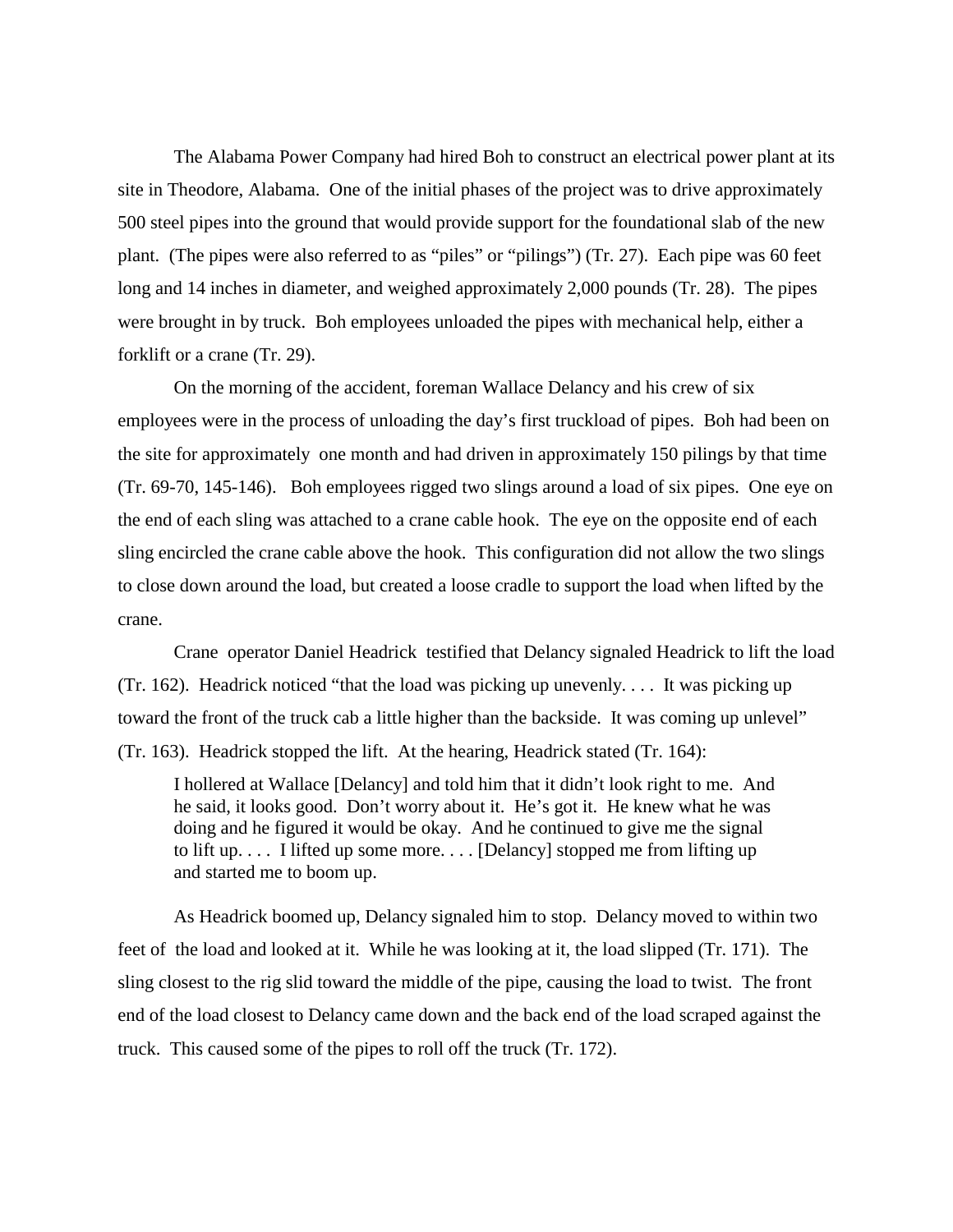The Alabama Power Company had hired Boh to construct an electrical power plant at its site in Theodore, Alabama. One of the initial phases of the project was to drive approximately 500 steel pipes into the ground that would provide support for the foundational slab of the new plant. (The pipes were also referred to as "piles" or "pilings") (Tr. 27). Each pipe was 60 feet long and 14 inches in diameter, and weighed approximately 2,000 pounds (Tr. 28). The pipes were brought in by truck. Boh employees unloaded the pipes with mechanical help, either a forklift or a crane (Tr. 29).

On the morning of the accident, foreman Wallace Delancy and his crew of six employees were in the process of unloading the day's first truckload of pipes. Boh had been on the site for approximately one month and had driven in approximately 150 pilings by that time (Tr. 69-70, 145-146). Boh employees rigged two slings around a load of six pipes. One eye on the end of each sling was attached to a crane cable hook. The eye on the opposite end of each sling encircled the crane cable above the hook. This configuration did not allow the two slings to close down around the load, but created a loose cradle to support the load when lifted by the crane.

Crane operator Daniel Headrick testified that Delancy signaled Headrick to lift the load (Tr. 162). Headrick noticed "that the load was picking up unevenly. . . . It was picking up toward the front of the truck cab a little higher than the backside. It was coming up unlevel" (Tr. 163). Headrick stopped the lift. At the hearing, Headrick stated (Tr. 164):

I hollered at Wallace [Delancy] and told him that it didn't look right to me. And he said, it looks good. Don't worry about it. He's got it. He knew what he was doing and he figured it would be okay. And he continued to give me the signal to lift up. . . . I lifted up some more. . . . [Delancy] stopped me from lifting up and started me to boom up.

As Headrick boomed up, Delancy signaled him to stop. Delancy moved to within two feet of the load and looked at it. While he was looking at it, the load slipped (Tr. 171). The sling closest to the rig slid toward the middle of the pipe, causing the load to twist. The front end of the load closest to Delancy came down and the back end of the load scraped against the truck. This caused some of the pipes to roll off the truck (Tr. 172).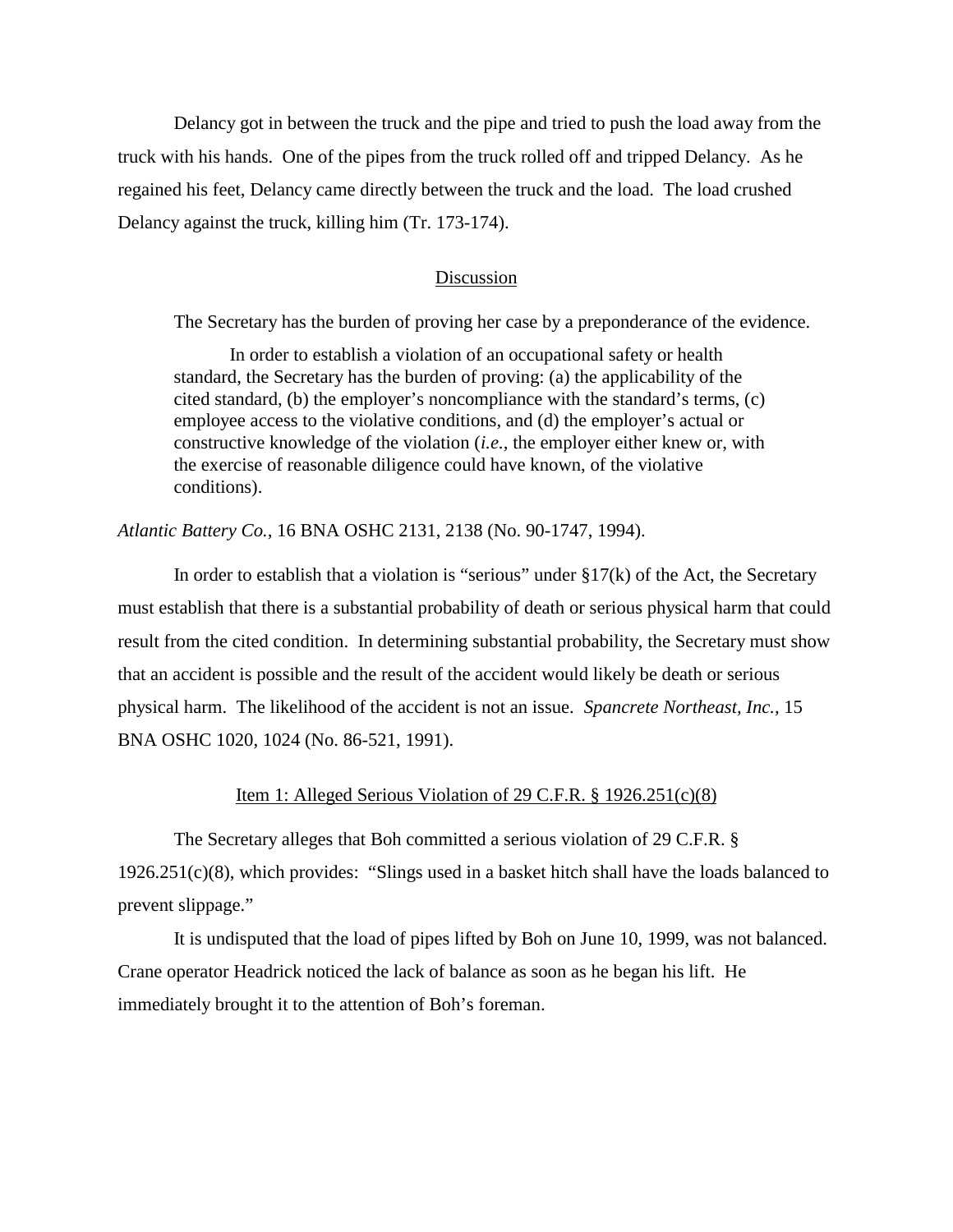Delancy got in between the truck and the pipe and tried to push the load away from the truck with his hands. One of the pipes from the truck rolled off and tripped Delancy. As he regained his feet, Delancy came directly between the truck and the load. The load crushed Delancy against the truck, killing him (Tr. 173-174).

### Discussion

The Secretary has the burden of proving her case by a preponderance of the evidence.

In order to establish a violation of an occupational safety or health standard, the Secretary has the burden of proving: (a) the applicability of the cited standard, (b) the employer's noncompliance with the standard's terms, (c) employee access to the violative conditions, and (d) the employer's actual or constructive knowledge of the violation (*i.e.,* the employer either knew or, with the exercise of reasonable diligence could have known, of the violative conditions).

## *Atlantic Battery Co.,* 16 BNA OSHC 2131, 2138 (No. 90-1747, 1994).

In order to establish that a violation is "serious" under  $\S17(k)$  of the Act, the Secretary must establish that there is a substantial probability of death or serious physical harm that could result from the cited condition. In determining substantial probability, the Secretary must show that an accident is possible and the result of the accident would likely be death or serious physical harm. The likelihood of the accident is not an issue. *Spancrete Northeast, Inc.,* 15 BNA OSHC 1020, 1024 (No. 86-521, 1991).

## Item 1: Alleged Serious Violation of 29 C.F.R. § 1926.251(c)(8)

The Secretary alleges that Boh committed a serious violation of 29 C.F.R. § 1926.251(c)(8), which provides: "Slings used in a basket hitch shall have the loads balanced to prevent slippage."

It is undisputed that the load of pipes lifted by Boh on June 10, 1999, was not balanced. Crane operator Headrick noticed the lack of balance as soon as he began his lift. He immediately brought it to the attention of Boh's foreman.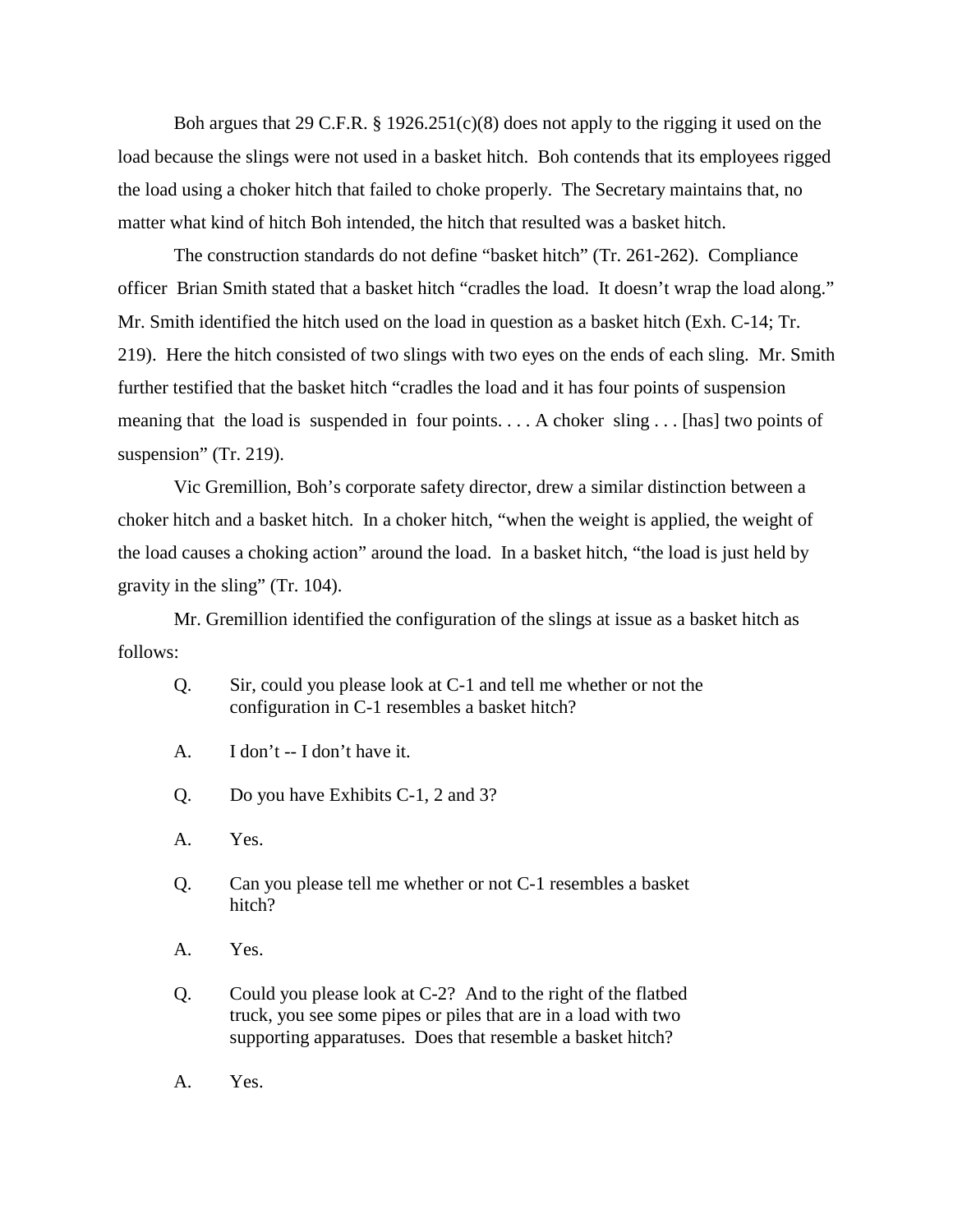Boh argues that 29 C.F.R. § 1926.251(c)(8) does not apply to the rigging it used on the load because the slings were not used in a basket hitch. Boh contends that its employees rigged the load using a choker hitch that failed to choke properly. The Secretary maintains that, no matter what kind of hitch Boh intended, the hitch that resulted was a basket hitch.

The construction standards do not define "basket hitch" (Tr. 261-262). Compliance officer Brian Smith stated that a basket hitch "cradles the load. It doesn't wrap the load along." Mr. Smith identified the hitch used on the load in question as a basket hitch (Exh. C-14; Tr. 219). Here the hitch consisted of two slings with two eyes on the ends of each sling. Mr. Smith further testified that the basket hitch "cradles the load and it has four points of suspension meaning that the load is suspended in four points. . . . A choker sling . . . [has] two points of suspension" (Tr. 219).

Vic Gremillion, Boh's corporate safety director, drew a similar distinction between a choker hitch and a basket hitch. In a choker hitch, "when the weight is applied, the weight of the load causes a choking action" around the load. In a basket hitch, "the load is just held by gravity in the sling" (Tr. 104).

Mr. Gremillion identified the configuration of the slings at issue as a basket hitch as follows:

- Q. Sir, could you please look at C-1 and tell me whether or not the configuration in C-1 resembles a basket hitch?
- A. I don't -- I don't have it.
- Q. Do you have Exhibits C-1, 2 and 3?
- A. Yes.
- Q. Can you please tell me whether or not C-1 resembles a basket hitch?
- A. Yes.
- Q. Could you please look at C-2? And to the right of the flatbed truck, you see some pipes or piles that are in a load with two supporting apparatuses. Does that resemble a basket hitch?
- A. Yes.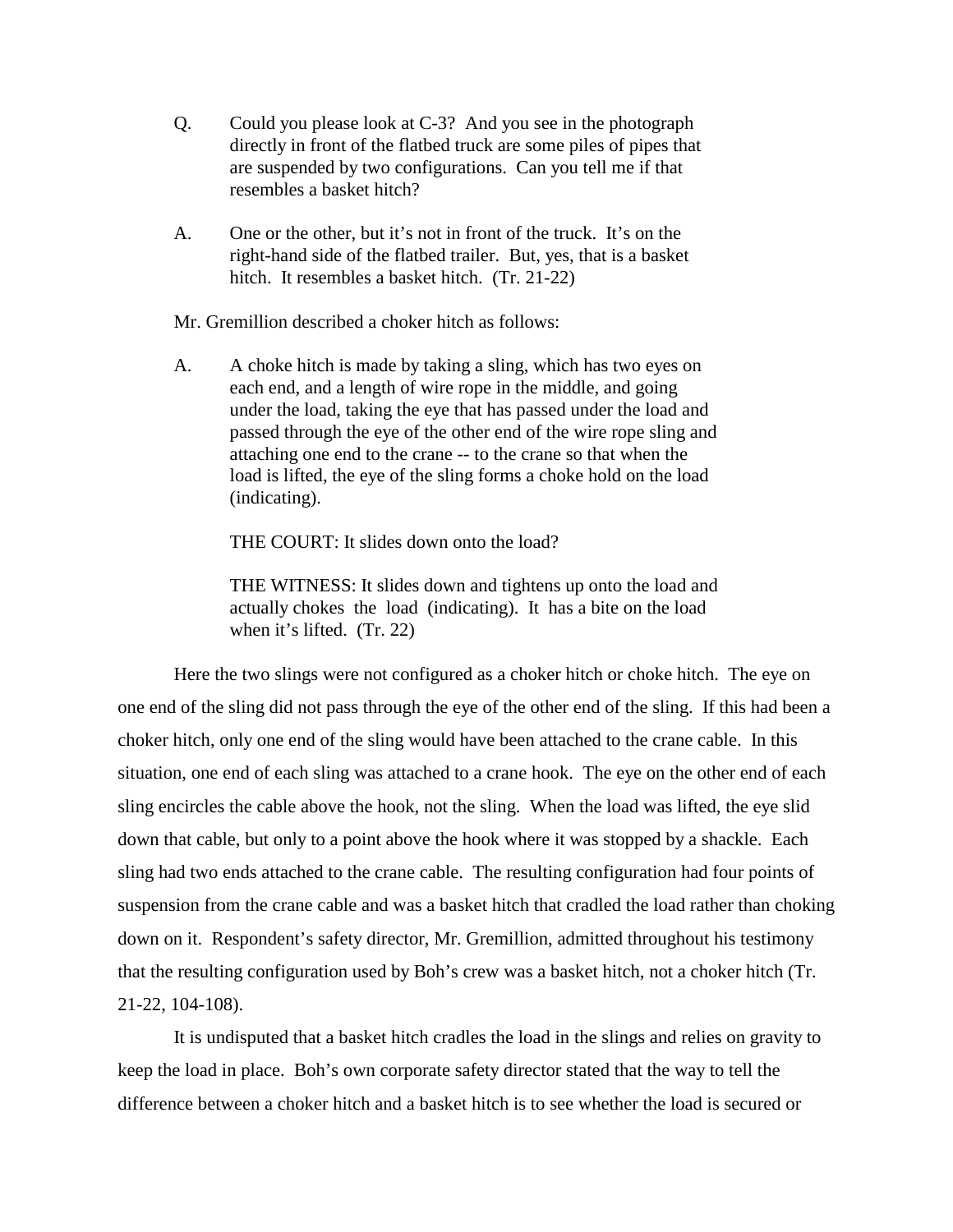- Q. Could you please look at C-3? And you see in the photograph directly in front of the flatbed truck are some piles of pipes that are suspended by two configurations. Can you tell me if that resembles a basket hitch?
- A. One or the other, but it's not in front of the truck. It's on the right-hand side of the flatbed trailer. But, yes, that is a basket hitch. It resembles a basket hitch. (Tr. 21-22)

Mr. Gremillion described a choker hitch as follows:

A. A choke hitch is made by taking a sling, which has two eyes on each end, and a length of wire rope in the middle, and going under the load, taking the eye that has passed under the load and passed through the eye of the other end of the wire rope sling and attaching one end to the crane -- to the crane so that when the load is lifted, the eye of the sling forms a choke hold on the load (indicating).

THE COURT: It slides down onto the load?

THE WITNESS: It slides down and tightens up onto the load and actually chokes the load (indicating). It has a bite on the load when it's lifted. (Tr. 22)

Here the two slings were not configured as a choker hitch or choke hitch. The eye on one end of the sling did not pass through the eye of the other end of the sling. If this had been a choker hitch, only one end of the sling would have been attached to the crane cable. In this situation, one end of each sling was attached to a crane hook. The eye on the other end of each sling encircles the cable above the hook, not the sling. When the load was lifted, the eye slid down that cable, but only to a point above the hook where it was stopped by a shackle. Each sling had two ends attached to the crane cable. The resulting configuration had four points of suspension from the crane cable and was a basket hitch that cradled the load rather than choking down on it. Respondent's safety director, Mr. Gremillion, admitted throughout his testimony that the resulting configuration used by Boh's crew was a basket hitch, not a choker hitch (Tr. 21-22, 104-108).

It is undisputed that a basket hitch cradles the load in the slings and relies on gravity to keep the load in place. Boh's own corporate safety director stated that the way to tell the difference between a choker hitch and a basket hitch is to see whether the load is secured or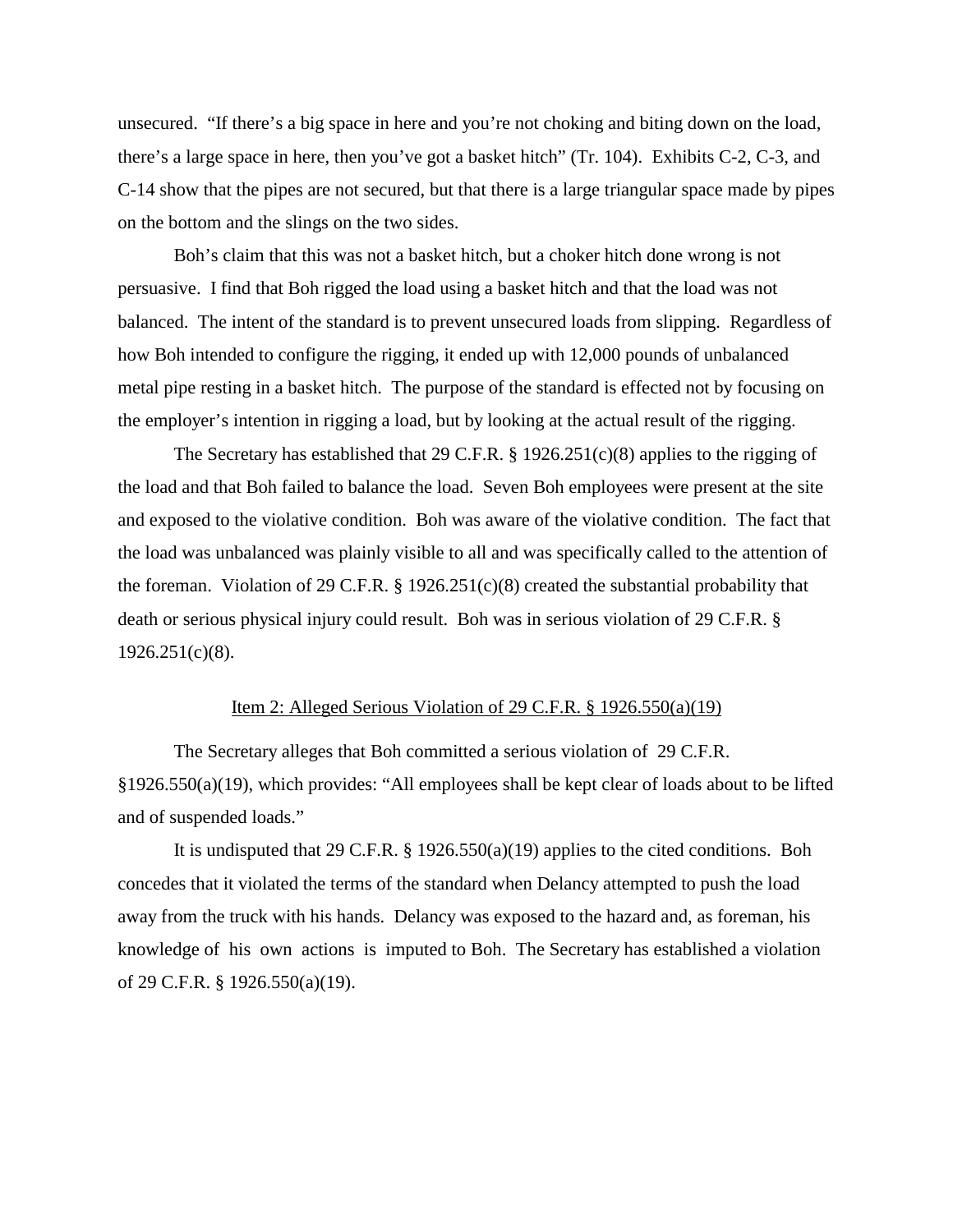unsecured. "If there's a big space in here and you're not choking and biting down on the load, there's a large space in here, then you've got a basket hitch" (Tr. 104). Exhibits C-2, C-3, and C-14 show that the pipes are not secured, but that there is a large triangular space made by pipes on the bottom and the slings on the two sides.

Boh's claim that this was not a basket hitch, but a choker hitch done wrong is not persuasive. I find that Boh rigged the load using a basket hitch and that the load was not balanced. The intent of the standard is to prevent unsecured loads from slipping. Regardless of how Boh intended to configure the rigging, it ended up with 12,000 pounds of unbalanced metal pipe resting in a basket hitch. The purpose of the standard is effected not by focusing on the employer's intention in rigging a load, but by looking at the actual result of the rigging.

The Secretary has established that 29 C.F.R. § 1926.251(c)(8) applies to the rigging of the load and that Boh failed to balance the load. Seven Boh employees were present at the site and exposed to the violative condition. Boh was aware of the violative condition. The fact that the load was unbalanced was plainly visible to all and was specifically called to the attention of the foreman. Violation of 29 C.F.R. § 1926.251(c)(8) created the substantial probability that death or serious physical injury could result. Boh was in serious violation of 29 C.F.R. §  $1926.251(c)(8)$ .

#### Item 2: Alleged Serious Violation of 29 C.F.R. § 1926.550(a)(19)

The Secretary alleges that Boh committed a serious violation of 29 C.F.R. §1926.550(a)(19), which provides: "All employees shall be kept clear of loads about to be lifted and of suspended loads."

It is undisputed that 29 C.F.R. § 1926.550(a)(19) applies to the cited conditions. Boh concedes that it violated the terms of the standard when Delancy attempted to push the load away from the truck with his hands. Delancy was exposed to the hazard and, as foreman, his knowledge of his own actions is imputed to Boh. The Secretary has established a violation of 29 C.F.R. § 1926.550(a)(19).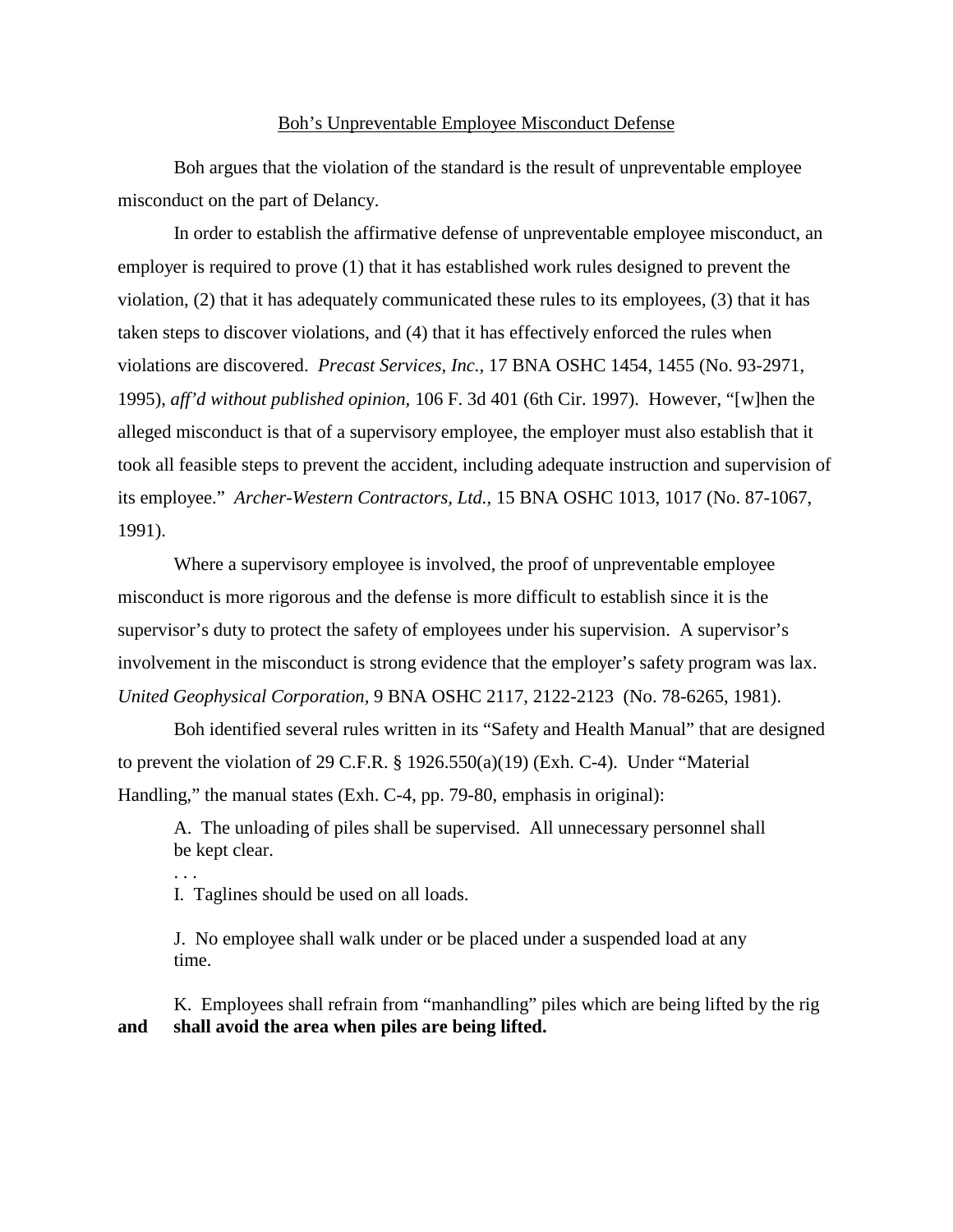### Boh's Unpreventable Employee Misconduct Defense

Boh argues that the violation of the standard is the result of unpreventable employee misconduct on the part of Delancy.

In order to establish the affirmative defense of unpreventable employee misconduct, an employer is required to prove (1) that it has established work rules designed to prevent the violation, (2) that it has adequately communicated these rules to its employees, (3) that it has taken steps to discover violations, and (4) that it has effectively enforced the rules when violations are discovered. *Precast Services, Inc.,* 17 BNA OSHC 1454, 1455 (No. 93-2971, 1995), *aff'd without published opinion,* 106 F. 3d 401 (6th Cir. 1997). However, "[w]hen the alleged misconduct is that of a supervisory employee, the employer must also establish that it took all feasible steps to prevent the accident, including adequate instruction and supervision of its employee." *Archer-Western Contractors, Ltd.,* 15 BNA OSHC 1013, 1017 (No. 87-1067, 1991).

Where a supervisory employee is involved, the proof of unpreventable employee misconduct is more rigorous and the defense is more difficult to establish since it is the supervisor's duty to protect the safety of employees under his supervision. A supervisor's involvement in the misconduct is strong evidence that the employer's safety program was lax. *United Geophysical Corporation,* 9 BNA OSHC 2117, 2122-2123 (No. 78-6265, 1981).

Boh identified several rules written in its "Safety and Health Manual" that are designed to prevent the violation of 29 C.F.R. § 1926.550(a)(19) (Exh. C-4). Under "Material Handling," the manual states (Exh. C-4, pp. 79-80, emphasis in original):

A. The unloading of piles shall be supervised. All unnecessary personnel shall be kept clear.

I. Taglines should be used on all loads.

. . .

J. No employee shall walk under or be placed under a suspended load at any time.

K. Employees shall refrain from "manhandling" piles which are being lifted by the rig **and shall avoid the area when piles are being lifted.**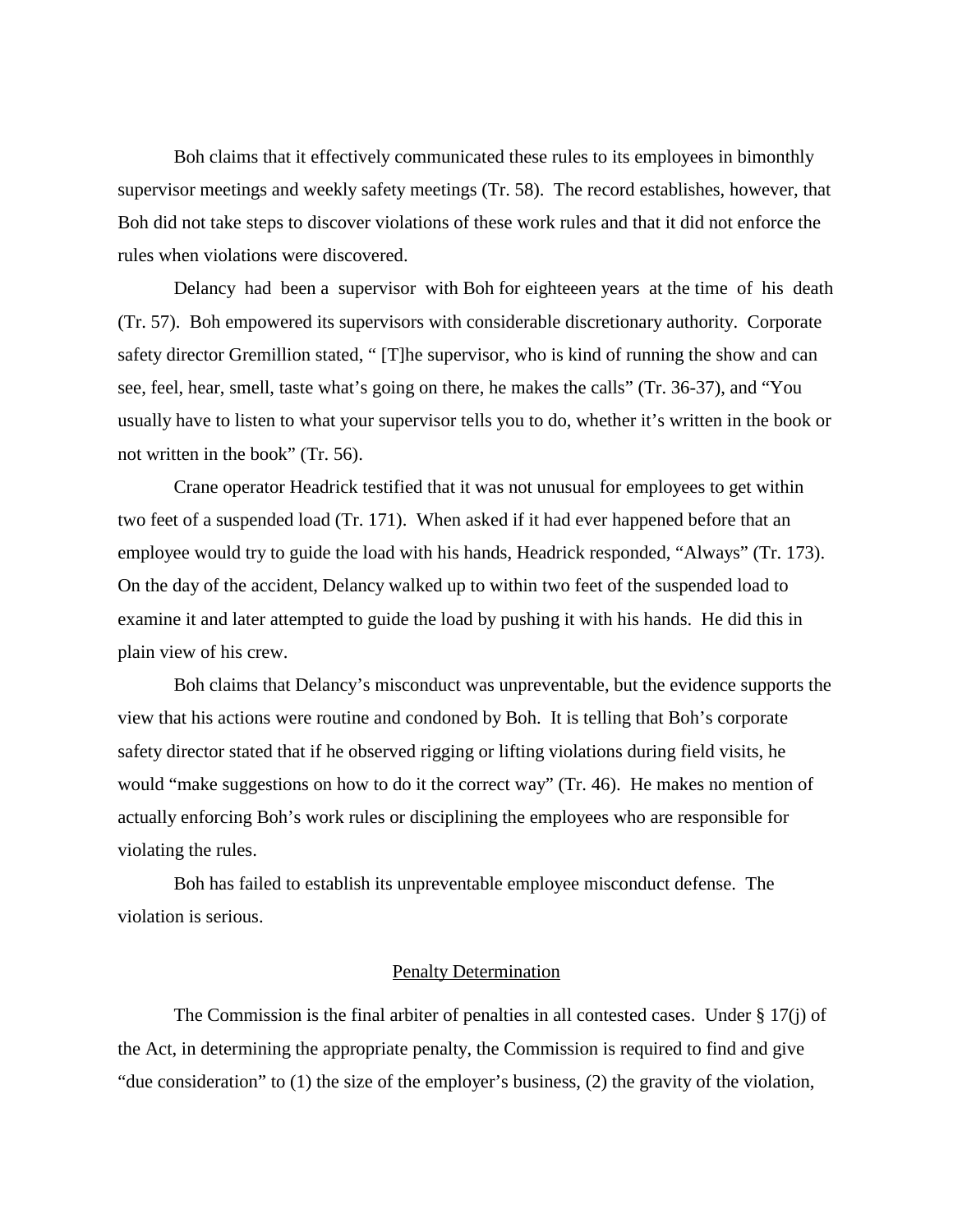Boh claims that it effectively communicated these rules to its employees in bimonthly supervisor meetings and weekly safety meetings (Tr. 58). The record establishes, however, that Boh did not take steps to discover violations of these work rules and that it did not enforce the rules when violations were discovered.

Delancy had been a supervisor with Boh for eighteeen years at the time of his death (Tr. 57). Boh empowered its supervisors with considerable discretionary authority. Corporate safety director Gremillion stated, " [T]he supervisor, who is kind of running the show and can see, feel, hear, smell, taste what's going on there, he makes the calls" (Tr. 36-37), and "You usually have to listen to what your supervisor tells you to do, whether it's written in the book or not written in the book" (Tr. 56).

Crane operator Headrick testified that it was not unusual for employees to get within two feet of a suspended load (Tr. 171). When asked if it had ever happened before that an employee would try to guide the load with his hands, Headrick responded, "Always" (Tr. 173). On the day of the accident, Delancy walked up to within two feet of the suspended load to examine it and later attempted to guide the load by pushing it with his hands. He did this in plain view of his crew.

Boh claims that Delancy's misconduct was unpreventable, but the evidence supports the view that his actions were routine and condoned by Boh. It is telling that Boh's corporate safety director stated that if he observed rigging or lifting violations during field visits, he would "make suggestions on how to do it the correct way" (Tr. 46). He makes no mention of actually enforcing Boh's work rules or disciplining the employees who are responsible for violating the rules.

Boh has failed to establish its unpreventable employee misconduct defense. The violation is serious.

#### Penalty Determination

The Commission is the final arbiter of penalties in all contested cases. Under § 17(j) of the Act, in determining the appropriate penalty, the Commission is required to find and give "due consideration" to (1) the size of the employer's business, (2) the gravity of the violation,